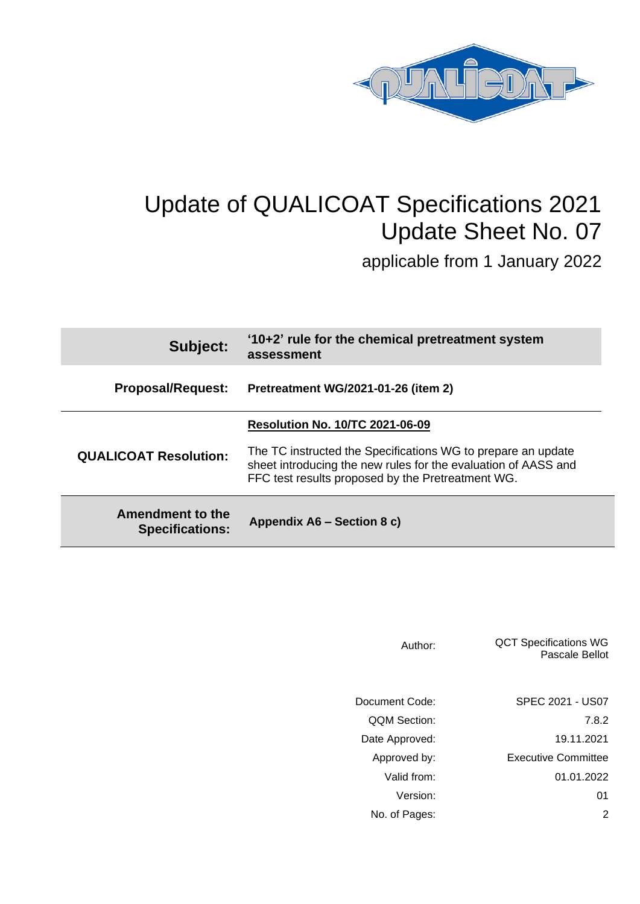

# Update of QUALICOAT Specifications 2021 Update Sheet No. 07

applicable from 1 January 2022

| Subject:                                          | '10+2' rule for the chemical pretreatment system<br>assessment                                                                                                                      |
|---------------------------------------------------|-------------------------------------------------------------------------------------------------------------------------------------------------------------------------------------|
| <b>Proposal/Request:</b>                          | <b>Pretreatment WG/2021-01-26 (item 2)</b>                                                                                                                                          |
|                                                   | <b>Resolution No. 10/TC 2021-06-09</b>                                                                                                                                              |
| <b>QUALICOAT Resolution:</b>                      | The TC instructed the Specifications WG to prepare an update<br>sheet introducing the new rules for the evaluation of AASS and<br>FFC test results proposed by the Pretreatment WG. |
| <b>Amendment to the</b><br><b>Specifications:</b> | Appendix A6 - Section 8 c)                                                                                                                                                          |

| Author:             | <b>QCT Specifications WG</b><br>Pascale Bellot |
|---------------------|------------------------------------------------|
| Document Code:      | SPEC 2021 - US07                               |
| <b>QQM Section:</b> | 7.8.2                                          |
| Date Approved:      | 19.11.2021                                     |
| Approved by:        | <b>Executive Committee</b>                     |
| Valid from:         | 01.01.2022                                     |
| Version:            | 01                                             |
| No. of Pages:       | 2                                              |